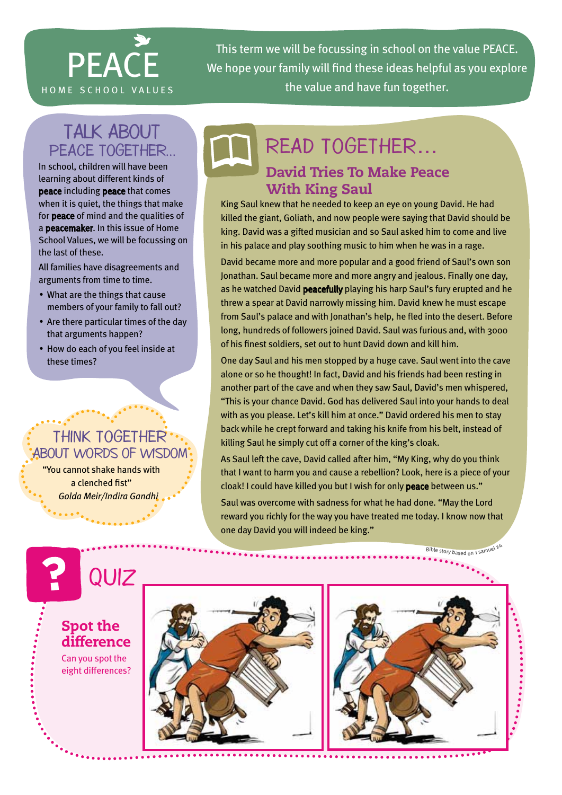# PEACE

This term we will be focussing in school on the value PEACE. We hope your family will find these ideas helpful as you explore HOME SCHOOL VALUES the value and have fun together.

## Talk about PEACE TOGETHER...

In school, children will have been learning about different kinds of peace including peace that comes when it is quiet, the things that make for peace of mind and the qualities of a peacemaker. In this issue of Home School Values, we will be focussing on the last of these.

All families have disagreements and arguments from time to time.

- What are the things that cause members of your family to fall out?
- Are there particular times of the day that arguments happen?
- How do each of you feel inside at these times?

#### Think together **ABOUT WORDS OF WISDOM**

"You cannot shake hands with a clenched fist" *Golda Meir/Indira Gandhi*

## David Tries To Make Peace With King Saul Read together…

King Saul knew that he needed to keep an eye on young David. He had killed the giant, Goliath, and now people were saying that David should be king. David was a gifted musician and so Saul asked him to come and live in his palace and play soothing music to him when he was in a rage.

David became more and more popular and a good friend of Saul's own son Jonathan. Saul became more and more angry and jealous. Finally one day, as he watched David peacefully playing his harp Saul's fury erupted and he threw a spear at David narrowly missing him. David knew he must escape from Saul's palace and with Jonathan's help, he fled into the desert. Before long, hundreds of followers joined David. Saul was furious and, with 3000 of his finest soldiers, set out to hunt David down and kill him.

One day Saul and his men stopped by a huge cave. Saul went into the cave alone or so he thought! In fact, David and his friends had been resting in another part of the cave and when they saw Saul, David's men whispered, "This is your chance David. God has delivered Saul into your hands to deal with as you please. Let's kill him at once." David ordered his men to stay back while he crept forward and taking his knife from his belt, instead of killing Saul he simply cut off a corner of the king's cloak.

As Saul left the cave, David called after him, "My King, why do you think that I want to harm you and cause a rebellion? Look, here is a piece of your cloak! I could have killed you but I wish for only peace between us."

Saul was overcome with sadness for what he had done. "May the Lord reward you richly for the way you have treated me today. I know now that one day David you will indeed be king."